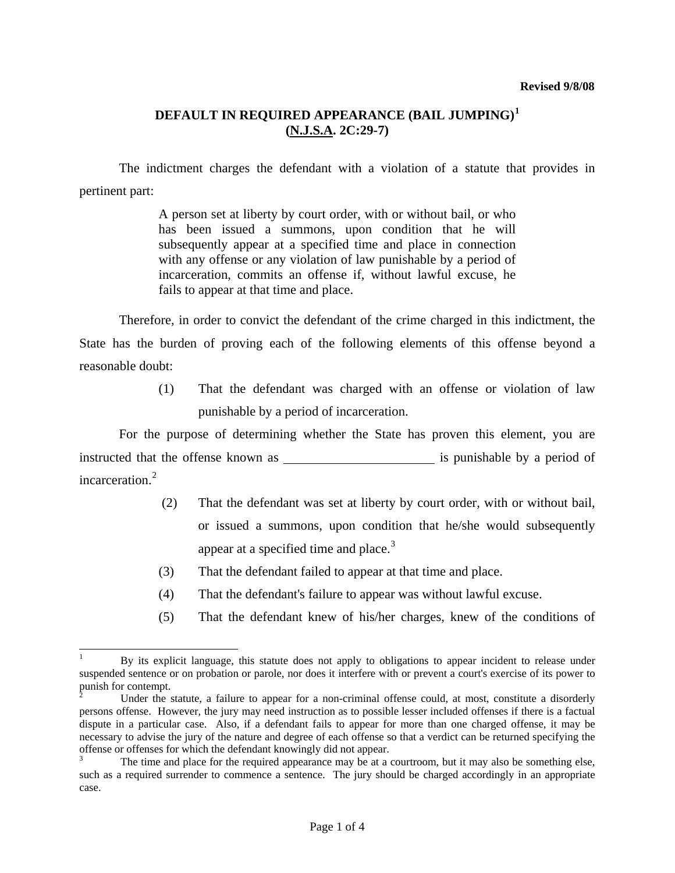#### **Revised 9/8/08**

# **DEFAULT IN REQUIRED APPEARANCE (BAIL JUMPING)[1](#page-2-0) (N.J.S.A. 2C:29-7)**

 The indictment charges the defendant with a violation of a statute that provides in pertinent part:

> A person set at liberty by court order, with or without bail, or who has been issued a summons, upon condition that he will subsequently appear at a specified time and place in connection with any offense or any violation of law punishable by a period of incarceration, commits an offense if, without lawful excuse, he fails to appear at that time and place.

 Therefore, in order to convict the defendant of the crime charged in this indictment, the State has the burden of proving each of the following elements of this offense beyond a reasonable doubt:

> (1) That the defendant was charged with an offense or violation of law punishable by a period of incarceration.

 For the purpose of determining whether the State has proven this element, you are instructed that the offense known as is punishable by a period of incarceration.<sup>[2](#page-0-0)</sup>

- (2) That the defendant was set at liberty by court order, with or without bail, or issued a summons, upon condition that he/she would subsequently appear at a specified time and place. $3$
- (3) That the defendant failed to appear at that time and place.
- (4) That the defendant's failure to appear was without lawful excuse.
- (5) That the defendant knew of his/her charges, knew of the conditions of

 $\overline{\phantom{a}}$ 

<sup>1</sup> By its explicit language, this statute does not apply to obligations to appear incident to release under suspended sentence or on probation or parole, nor does it interfere with or prevent a court's exercise of its power to punish for contempt.<br> $\frac{1}{2}$  Under the s

<span id="page-0-0"></span>Under the statute, a failure to appear for a non-criminal offense could, at most, constitute a disorderly persons offense. However, the jury may need instruction as to possible lesser included offenses if there is a factual dispute in a particular case. Also, if a defendant fails to appear for more than one charged offense, it may be necessary to advise the jury of the nature and degree of each offense so that a verdict can be returned specifying the offense or offenses for which the defendant knowingly did not appear.

<span id="page-0-2"></span><span id="page-0-1"></span><sup>3</sup> The time and place for the required appearance may be at a courtroom, but it may also be something else, such as a required surrender to commence a sentence. The jury should be charged accordingly in an appropriate case.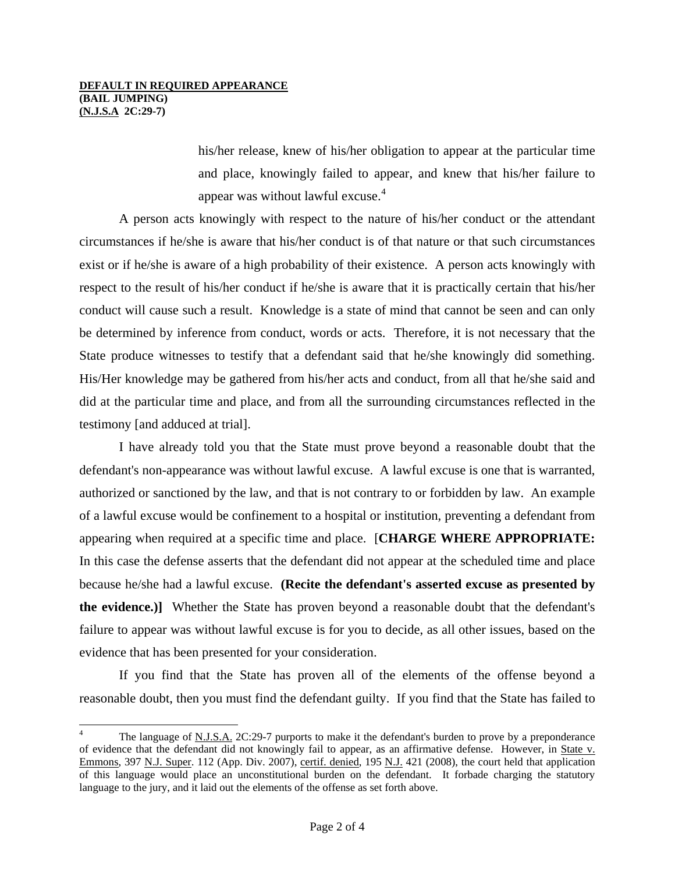### **DEFAULT IN REQUIRED APPEARANCE (BAIL JUMPING) (N.J.S.A 2C:29-7)**

 $\overline{\phantom{a}}$ 

his/her release, knew of his/her obligation to appear at the particular time and place, knowingly failed to appear, and knew that his/her failure to appear was without lawful excuse.<sup>[4](#page-0-2)</sup>

 A person acts knowingly with respect to the nature of his/her conduct or the attendant circumstances if he/she is aware that his/her conduct is of that nature or that such circumstances exist or if he/she is aware of a high probability of their existence. A person acts knowingly with respect to the result of his/her conduct if he/she is aware that it is practically certain that his/her conduct will cause such a result. Knowledge is a state of mind that cannot be seen and can only be determined by inference from conduct, words or acts. Therefore, it is not necessary that the State produce witnesses to testify that a defendant said that he/she knowingly did something. His/Her knowledge may be gathered from his/her acts and conduct, from all that he/she said and did at the particular time and place, and from all the surrounding circumstances reflected in the testimony [and adduced at trial].

 I have already told you that the State must prove beyond a reasonable doubt that the defendant's non-appearance was without lawful excuse. A lawful excuse is one that is warranted, authorized or sanctioned by the law, and that is not contrary to or forbidden by law. An example of a lawful excuse would be confinement to a hospital or institution, preventing a defendant from appearing when required at a specific time and place. [**CHARGE WHERE APPROPRIATE:** In this case the defense asserts that the defendant did not appear at the scheduled time and place because he/she had a lawful excuse. **(Recite the defendant's asserted excuse as presented by the evidence.)]** Whether the State has proven beyond a reasonable doubt that the defendant's failure to appear was without lawful excuse is for you to decide, as all other issues, based on the evidence that has been presented for your consideration.

 If you find that the State has proven all of the elements of the offense beyond a reasonable doubt, then you must find the defendant guilty. If you find that the State has failed to

<sup>4</sup> The language of N.J.S.A. 2C:29-7 purports to make it the defendant's burden to prove by a preponderance of evidence that the defendant did not knowingly fail to appear, as an affirmative defense. However, in State v. Emmons, 397 N.J. Super. 112 (App. Div. 2007), certif. denied, 195 N.J. 421 (2008), the court held that application of this language would place an unconstitutional burden on the defendant. It forbade charging the statutory language to the jury, and it laid out the elements of the offense as set forth above.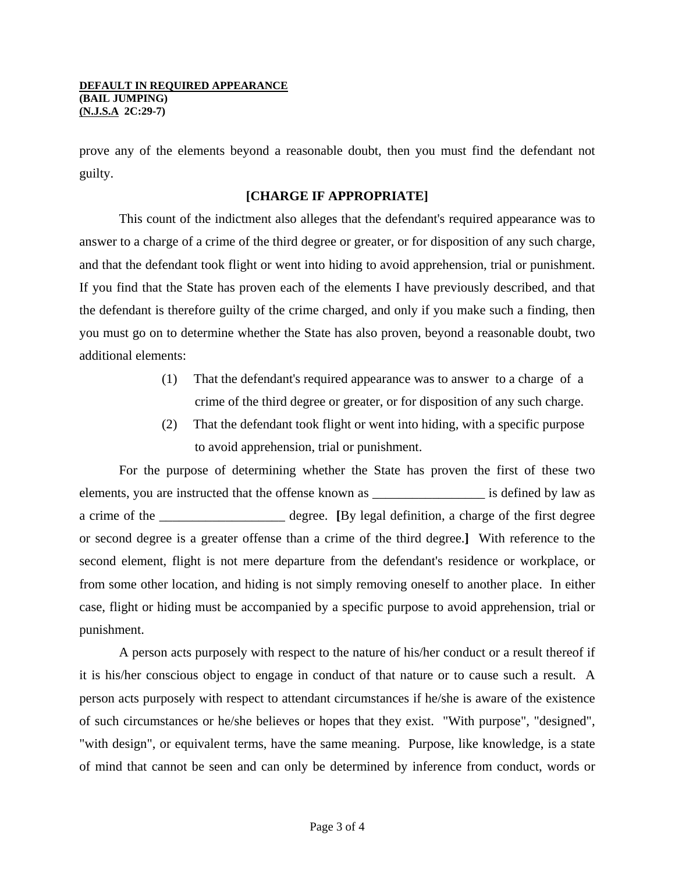prove any of the elements beyond a reasonable doubt, then you must find the defendant not guilty.

# **[CHARGE IF APPROPRIATE]**

This count of the indictment also alleges that the defendant's required appearance was to answer to a charge of a crime of the third degree or greater, or for disposition of any such charge, and that the defendant took flight or went into hiding to avoid apprehension, trial or punishment. If you find that the State has proven each of the elements I have previously described, and that the defendant is therefore guilty of the crime charged, and only if you make such a finding, then you must go on to determine whether the State has also proven, beyond a reasonable doubt, two additional elements:

- (1) That the defendant's required appearance was to answer to a charge of a crime of the third degree or greater, or for disposition of any such charge.
- (2) That the defendant took flight or went into hiding, with a specific purpose to avoid apprehension, trial or punishment.

 For the purpose of determining whether the State has proven the first of these two elements, you are instructed that the offense known as \_\_\_\_\_\_\_\_\_\_\_\_\_\_\_\_\_ is defined by law as a crime of the degree. **[**By legal definition, a charge of the first degree or second degree is a greater offense than a crime of the third degree.**]** With reference to the second element, flight is not mere departure from the defendant's residence or workplace, or from some other location, and hiding is not simply removing oneself to another place. In either case, flight or hiding must be accompanied by a specific purpose to avoid apprehension, trial or punishment.

<span id="page-2-0"></span> A person acts purposely with respect to the nature of his/her conduct or a result thereof if it is his/her conscious object to engage in conduct of that nature or to cause such a result. A person acts purposely with respect to attendant circumstances if he/she is aware of the existence of such circumstances or he/she believes or hopes that they exist. "With purpose", "designed", "with design", or equivalent terms, have the same meaning. Purpose, like knowledge, is a state of mind that cannot be seen and can only be determined by inference from conduct, words or